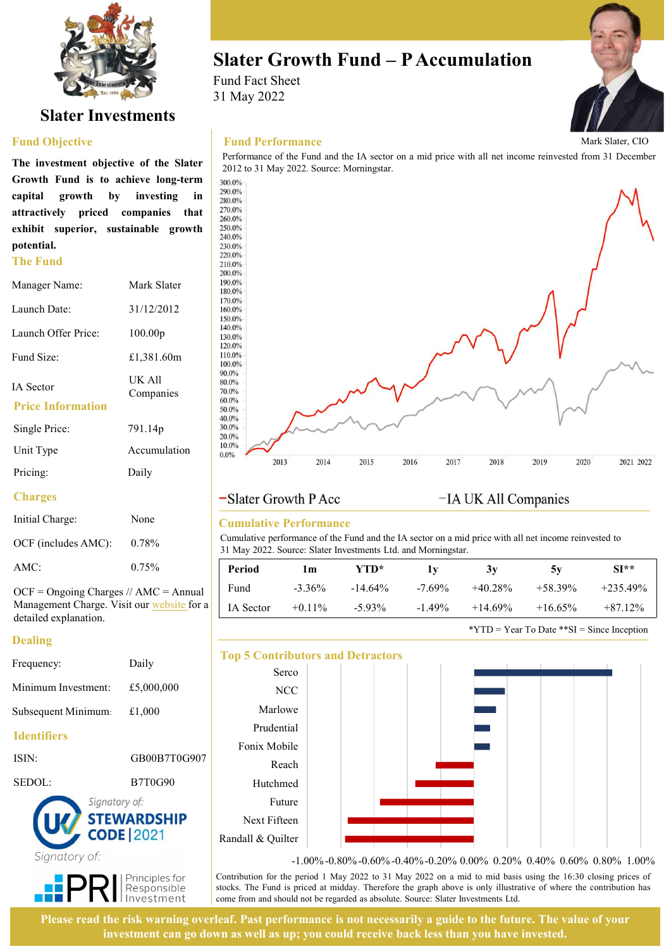

# Slater Investments

### Fund Objective

**The Fund<br>220.0%**<br>200.0%<br>200.0% potential.

| Manager Name:                         | Mark Slater         | 190.0%<br>180.0%                          |
|---------------------------------------|---------------------|-------------------------------------------|
| Launch Date:                          | 31/12/2012          | 170.0%<br>160.0%<br>150.0%                |
| Launch Offer Price:                   | 100.00 <sub>p</sub> | 140.0%<br>130.0%<br>120.0%                |
| Fund Size:                            | £1,381.60m          | 110.0%<br>100.0%                          |
| IA Sector<br><b>Price Information</b> | UK All<br>Companies | 90.0%<br>80.0%<br>70.0%<br>60.0%<br>50.0% |
| Single Price:                         | 791.14p             | 40.0%<br>30.0%<br>20.0%                   |
| Unit Type                             | Accumulation        | 10.0%<br>$0.0\%$<br>2013                  |
| Pricing:                              | Daily               |                                           |
|                                       |                     |                                           |

## **Charges**

| Initial Charge:     | None  |
|---------------------|-------|
| OCF (includes AMC): | 0.78% |
| AMC:                | 0.75% |

 $OCF = Ongoing Charges / / AMC = Annual$ Management Charge. Visit our website for a detailed explanation.

## Dealing

|                     |                    | <b>Top 5 Contributors and</b> |                        |  |  |  |
|---------------------|--------------------|-------------------------------|------------------------|--|--|--|
| Frequency:          | Daily              | Serco                         |                        |  |  |  |
| Minimum Investment: | £5,000,000         | <b>NCC</b>                    |                        |  |  |  |
| Subsequent Minimum: | £1,000             | Marlowe                       |                        |  |  |  |
| <b>Identifiers</b>  |                    | Prudential                    |                        |  |  |  |
|                     |                    | Fonix Mobile                  |                        |  |  |  |
| ISIN:               | GB00B7T0G907       | Reach                         |                        |  |  |  |
| SEDOL:              | <b>B7T0G90</b>     | Hutchmed                      |                        |  |  |  |
| Signatory of:       |                    | Future                        |                        |  |  |  |
|                     | <b>STEWARDSHIP</b> | Next Fifteen                  |                        |  |  |  |
|                     | <b>CODE 2021</b>   | Randall & Quilter             |                        |  |  |  |
| Sianatory of:       |                    |                               | $\sim$ 0.00 $\sim$ 0.1 |  |  |  |



Fund Fact Sheet 31 May 2022



## Fund Performance





## Cumulative Performance

| <b>Period</b> | l m       | YTD*      |          | 3V        | 5v        | $SI**$     |
|---------------|-----------|-----------|----------|-----------|-----------|------------|
| Fund          | $-3.36\%$ | $-14.64%$ | $-7.69%$ | $+40.28%$ | $+58.39%$ | $+235.49%$ |
| IA Sector     | $+0.11%$  | $-5.93\%$ | $-1.49%$ | $+14.69%$ | $+16.65%$ | $+87.12%$  |

\*YTD = Year To Date \*\* $SI$  = Since Inception



Please read the risk warning overleaf. Past performance is not necessarily a guide to the future. The value of your investment can go down as well as up; you could receive back less than you have invested.